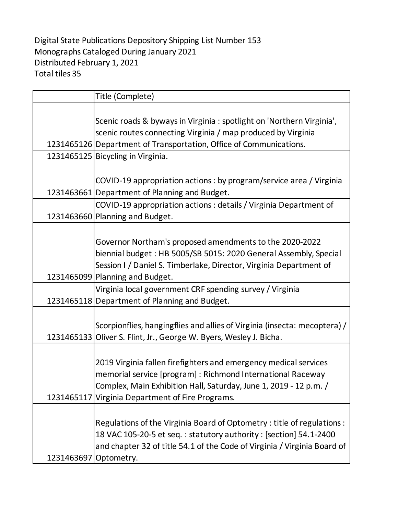Digital State Publications Depository Shipping List Number 153 Monographs Cataloged During January 2021 Distributed February 1, 2021 Total tiles 35

|                       | Title (Complete)                                                                                                                                                                                                                                         |
|-----------------------|----------------------------------------------------------------------------------------------------------------------------------------------------------------------------------------------------------------------------------------------------------|
|                       | Scenic roads & byways in Virginia : spotlight on 'Northern Virginia',<br>scenic routes connecting Virginia / map produced by Virginia<br>1231465126 Department of Transportation, Office of Communications.                                              |
|                       | 1231465125 Bicycling in Virginia.                                                                                                                                                                                                                        |
|                       | COVID-19 appropriation actions : by program/service area / Virginia<br>1231463661 Department of Planning and Budget.<br>COVID-19 appropriation actions : details / Virginia Department of                                                                |
|                       | 1231463660 Planning and Budget.                                                                                                                                                                                                                          |
|                       | Governor Northam's proposed amendments to the 2020-2022<br>biennial budget: HB 5005/SB 5015: 2020 General Assembly, Special<br>Session I / Daniel S. Timberlake, Director, Virginia Department of<br>1231465099 Planning and Budget.                     |
|                       | Virginia local government CRF spending survey / Virginia                                                                                                                                                                                                 |
|                       | 1231465118 Department of Planning and Budget.                                                                                                                                                                                                            |
|                       | Scorpionflies, hangingflies and allies of Virginia (insecta: mecoptera) /<br>1231465133 Oliver S. Flint, Jr., George W. Byers, Wesley J. Bicha.                                                                                                          |
|                       | 2019 Virginia fallen firefighters and emergency medical services<br>memorial service [program] : Richmond International Raceway<br>Complex, Main Exhibition Hall, Saturday, June 1, 2019 - 12 p.m. /<br>1231465117 Virginia Department of Fire Programs. |
| 1231463697 Optometry. | Regulations of the Virginia Board of Optometry: title of regulations:<br>18 VAC 105-20-5 et seq.: statutory authority: [section] 54.1-2400<br>and chapter 32 of title 54.1 of the Code of Virginia / Virginia Board of                                   |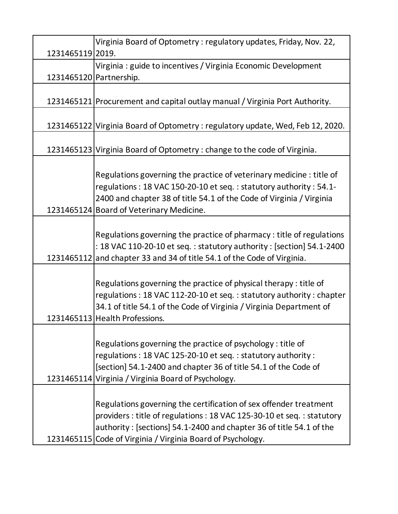|                  | Virginia Board of Optometry: regulatory updates, Friday, Nov. 22,             |
|------------------|-------------------------------------------------------------------------------|
| 1231465119 2019. |                                                                               |
|                  | Virginia : guide to incentives / Virginia Economic Development                |
|                  | 1231465120 Partnership.                                                       |
|                  |                                                                               |
|                  | 1231465121 Procurement and capital outlay manual / Virginia Port Authority.   |
|                  |                                                                               |
|                  | 1231465122 Virginia Board of Optometry: regulatory update, Wed, Feb 12, 2020. |
|                  |                                                                               |
|                  | 1231465123 Virginia Board of Optometry: change to the code of Virginia.       |
|                  |                                                                               |
|                  | Regulations governing the practice of veterinary medicine: title of           |
|                  | regulations: 18 VAC 150-20-10 et seq.: statutory authority: 54.1-             |
|                  | 2400 and chapter 38 of title 54.1 of the Code of Virginia / Virginia          |
|                  | 1231465124 Board of Veterinary Medicine.                                      |
|                  |                                                                               |
|                  | Regulations governing the practice of pharmacy: title of regulations          |
|                  | : 18 VAC 110-20-10 et seq. : statutory authority : [section] 54.1-2400        |
|                  | 1231465112 and chapter 33 and 34 of title 54.1 of the Code of Virginia.       |
|                  |                                                                               |
|                  | Regulations governing the practice of physical therapy: title of              |
|                  | regulations: 18 VAC 112-20-10 et seq.: statutory authority: chapter           |
|                  | 34.1 of title 54.1 of the Code of Virginia / Virginia Department of           |
|                  | 1231465113 Health Professions.                                                |
|                  |                                                                               |
|                  | Regulations governing the practice of psychology: title of                    |
|                  | regulations: 18 VAC 125-20-10 et seq.: statutory authority:                   |
|                  | [section] 54.1-2400 and chapter 36 of title 54.1 of the Code of               |
|                  | 1231465114 Virginia / Virginia Board of Psychology.                           |
|                  |                                                                               |
|                  | Regulations governing the certification of sex offender treatment             |
|                  | providers : title of regulations : 18 VAC 125-30-10 et seq. : statutory       |
|                  | authority: [sections] 54.1-2400 and chapter 36 of title 54.1 of the           |
|                  | 1231465115 Code of Virginia / Virginia Board of Psychology.                   |